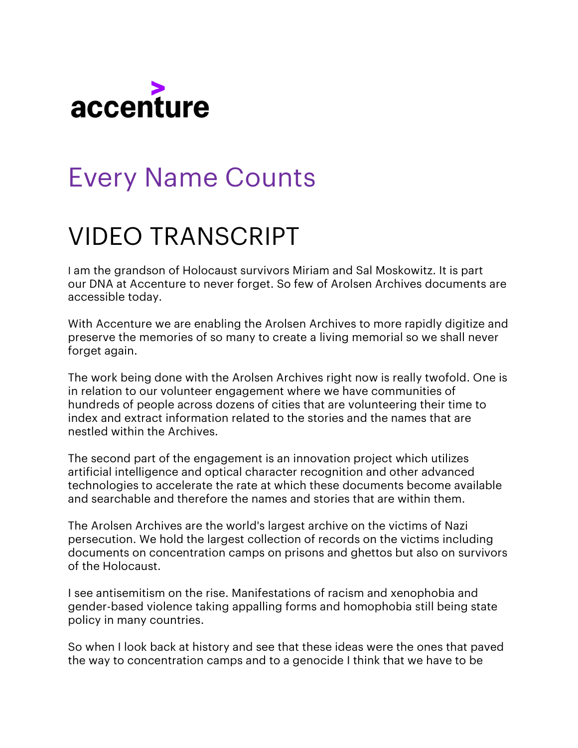

## Every Name Counts

## VIDEO TRANSCRIPT

I am the grandson of Holocaust survivors Miriam and Sal Moskowitz. It is part our DNA at Accenture to never forget. So few of Arolsen Archives documents are accessible today.

With Accenture we are enabling the Arolsen Archives to more rapidly digitize and preserve the memories of so many to create a living memorial so we shall never forget again.

The work being done with the Arolsen Archives right now is really twofold. One is in relation to our volunteer engagement where we have communities of hundreds of people across dozens of cities that are volunteering their time to index and extract information related to the stories and the names that are nestled within the Archives.

The second part of the engagement is an innovation project which utilizes artificial intelligence and optical character recognition and other advanced technologies to accelerate the rate at which these documents become available and searchable and therefore the names and stories that are within them.

The Arolsen Archives are the world's largest archive on the victims of Nazi persecution. We hold the largest collection of records on the victims including documents on concentration camps on prisons and ghettos but also on survivors of the Holocaust.

I see antisemitism on the rise. Manifestations of racism and xenophobia and gender-based violence taking appalling forms and homophobia still being state policy in many countries.

So when I look back at history and see that these ideas were the ones that paved the way to concentration camps and to a genocide I think that we have to be